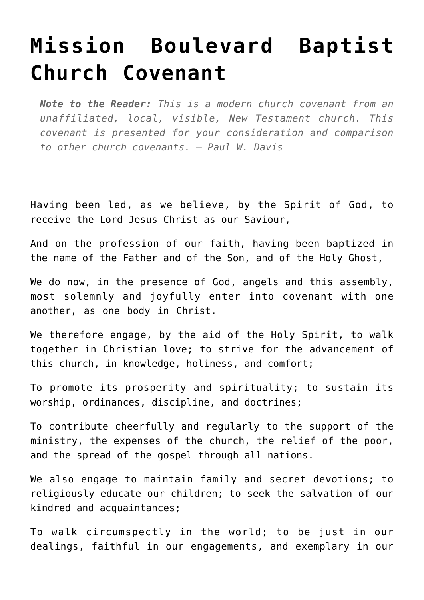## **[Mission Boulevard Baptist](http://reproachofmen.org/the-church/mission-boulevard-baptist-church-covenant/) [Church Covenant](http://reproachofmen.org/the-church/mission-boulevard-baptist-church-covenant/)**

*Note to the Reader: This is a modern church covenant from an unaffiliated, local, visible, New Testament church. This covenant is presented for your consideration and comparison to other church covenants. — Paul W. Davis*

Having been led, as we believe, by the Spirit of God, to receive the Lord Jesus Christ as our Saviour,

And on the profession of our faith, having been baptized in the name of the Father and of the Son, and of the Holy Ghost,

We do now, in the presence of God, angels and this assembly, most solemnly and joyfully enter into covenant with one another, as one body in Christ.

We therefore engage, by the aid of the Holy Spirit, to walk together in Christian love; to strive for the advancement of this church, in knowledge, holiness, and comfort;

To promote its prosperity and spirituality; to sustain its worship, ordinances, discipline, and doctrines;

To contribute cheerfully and regularly to the support of the ministry, the expenses of the church, the relief of the poor, and the spread of the gospel through all nations.

We also engage to maintain family and secret devotions; to religiously educate our children; to seek the salvation of our kindred and acquaintances;

To walk circumspectly in the world; to be just in our dealings, faithful in our engagements, and exemplary in our